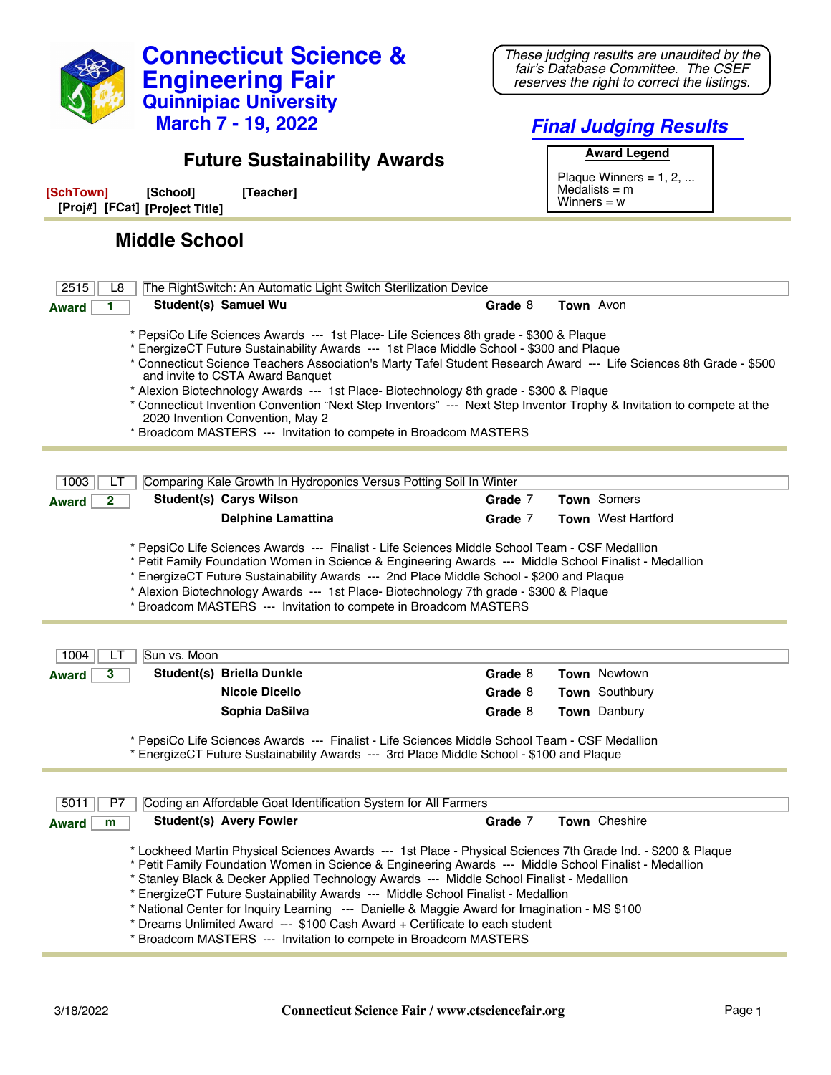

*These judging results are unaudited by the fair's Database Committee. The CSEF reserves the right to correct the listings.*

**Engineering Fair Quinnipiac University**

**Connecticut Science &**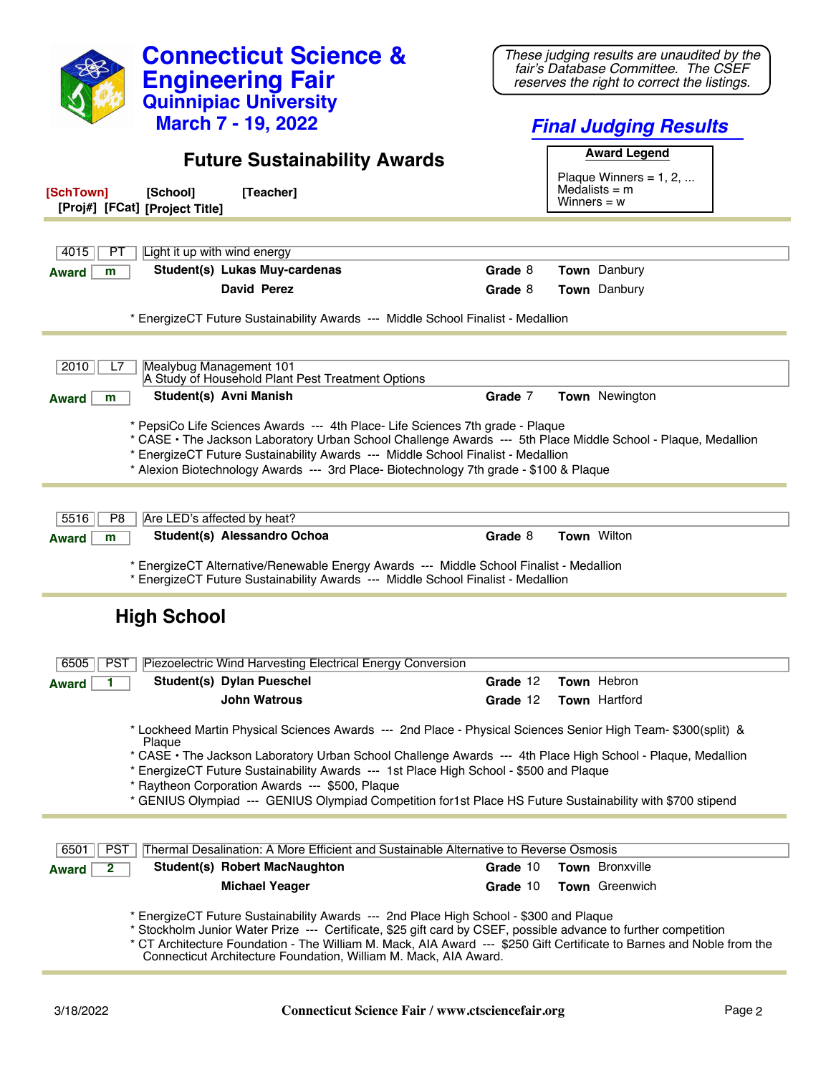| <b>Connecticut Science &amp;</b>                                                                                                                                                                                                                                              | These judging results are unaudited by the<br>fair's Database Committee. The CSEF                                     |
|-------------------------------------------------------------------------------------------------------------------------------------------------------------------------------------------------------------------------------------------------------------------------------|-----------------------------------------------------------------------------------------------------------------------|
| <b>Engineering Fair</b>                                                                                                                                                                                                                                                       | reserves the right to correct the listings.                                                                           |
| <b>Quinnipiac University</b>                                                                                                                                                                                                                                                  |                                                                                                                       |
| <b>March 7 - 19, 2022</b>                                                                                                                                                                                                                                                     | <b>Final Judging Results</b>                                                                                          |
| <b>Future Sustainability Awards</b>                                                                                                                                                                                                                                           | <b>Award Legend</b>                                                                                                   |
|                                                                                                                                                                                                                                                                               | Plaque Winners = $1, 2, $                                                                                             |
| [Teacher]<br>[SchTown]<br>[School]<br>[Proj#] [FCat] [Project Title]                                                                                                                                                                                                          | Medalists $=$ m<br>Winners = $w$                                                                                      |
|                                                                                                                                                                                                                                                                               |                                                                                                                       |
| Light it up with wind energy<br>4015<br>РT                                                                                                                                                                                                                                    | Grade 8                                                                                                               |
| Student(s) Lukas Muy-cardenas<br>Award<br>m<br><b>David Perez</b>                                                                                                                                                                                                             | Town Danbury                                                                                                          |
|                                                                                                                                                                                                                                                                               | <b>Town</b> Danbury<br>Grade 8                                                                                        |
| * EnergizeCT Future Sustainability Awards --- Middle School Finalist - Medallion                                                                                                                                                                                              |                                                                                                                       |
| Mealybug Management 101<br>2010<br>L7                                                                                                                                                                                                                                         |                                                                                                                       |
| A Study of Household Plant Pest Treatment Options                                                                                                                                                                                                                             |                                                                                                                       |
| Student(s) Avni Manish<br><b>Award</b><br>m                                                                                                                                                                                                                                   | Grade 7<br>Town Newington                                                                                             |
| * PepsiCo Life Sciences Awards --- 4th Place- Life Sciences 7th grade - Plaque<br>* EnergizeCT Future Sustainability Awards --- Middle School Finalist - Medallion<br>* Alexion Biotechnology Awards --- 3rd Place- Biotechnology 7th grade - \$100 & Plaque                  | * CASE • The Jackson Laboratory Urban School Challenge Awards --- 5th Place Middle School - Plaque, Medallion         |
|                                                                                                                                                                                                                                                                               |                                                                                                                       |
| 5516<br>P <sub>8</sub><br>Are LED's affected by heat?                                                                                                                                                                                                                         |                                                                                                                       |
| Student(s) Alessandro Ochoa<br><b>Award</b><br>m                                                                                                                                                                                                                              | Town Wilton<br>Grade 8                                                                                                |
| * EnergizeCT Alternative/Renewable Energy Awards --- Middle School Finalist - Medallion<br>* EnergizeCT Future Sustainability Awards --- Middle School Finalist - Medallion                                                                                                   |                                                                                                                       |
| <b>High School</b>                                                                                                                                                                                                                                                            |                                                                                                                       |
| Piezoelectric Wind Harvesting Electrical Energy Conversion<br>6505<br><b>PST</b>                                                                                                                                                                                              |                                                                                                                       |
| Student(s) Dylan Pueschel<br><b>Award</b>                                                                                                                                                                                                                                     | Town Hebron<br>Grade 12                                                                                               |
| <b>John Watrous</b>                                                                                                                                                                                                                                                           | Grade 12<br>Town Hartford                                                                                             |
| * Lockheed Martin Physical Sciences Awards --- 2nd Place - Physical Sciences Senior High Team- \$300(split) &<br>Plaque                                                                                                                                                       |                                                                                                                       |
| * EnergizeCT Future Sustainability Awards --- 1st Place High School - \$500 and Plaque<br>* Raytheon Corporation Awards --- \$500, Plaque<br>* GENIUS Olympiad --- GENIUS Olympiad Competition for1st Place HS Future Sustainability with \$700 stipend                       | * CASE • The Jackson Laboratory Urban School Challenge Awards --- 4th Place High School - Plaque, Medallion           |
|                                                                                                                                                                                                                                                                               |                                                                                                                       |
| Thermal Desalination: A More Efficient and Sustainable Alternative to Reverse Osmosis<br><b>PST</b><br>6501                                                                                                                                                                   |                                                                                                                       |
| <b>Student(s) Robert MacNaughton</b><br>$\mathbf{2}$<br><b>Award</b>                                                                                                                                                                                                          | Town Bronxville<br>Grade 10                                                                                           |
| <b>Michael Yeager</b>                                                                                                                                                                                                                                                         | <b>Town</b> Greenwich<br>Grade 10                                                                                     |
| * EnergizeCT Future Sustainability Awards --- 2nd Place High School - \$300 and Plaque<br>* Stockholm Junior Water Prize --- Certificate, \$25 gift card by CSEF, possible advance to further competition<br>Connecticut Architecture Foundation, William M. Mack, AIA Award. | * CT Architecture Foundation - The William M. Mack, AIA Award --- \$250 Gift Certificate to Barnes and Noble from the |